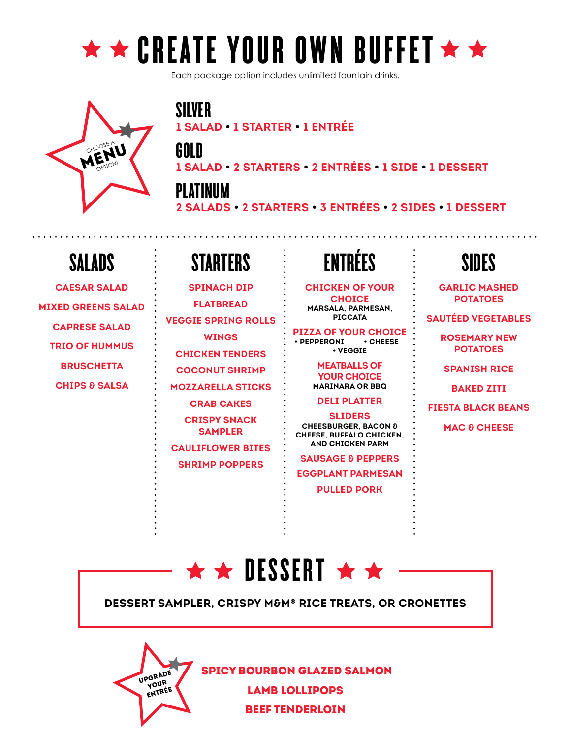

Each package option includes unlimited fountain drinks.



SILVER **1 SALAD • 1 STARTER • 1 ENTRÉE**

GOLD

**1 SALAD • 2 STARTERS • 2 ENTRÉES • 1 SIDE • 1 DESSERT**

PLATINUM

**2 SALADS • 2 STARTERS • 3 ENTRÉES • 2 SIDES • 1 DESSERT**

### SALADS

**CAESAR SALAD MIXED GREENS SALAD CAPRESE SALAD TRIO OF HUMMUS BRUSCHETTA CHIPS & SALSA**

## STARTERS

**SPINACH DIP FLATBREAD VEGGIE SPRING ROLLS WINGS CHICKEN TENDERS COCONUT SHRIMP MOZZARELLA STICKS CRAB CAKES CRISPY SNACK SAMPLER CAULIFLOWER BITES SHRIMP POPPERS**

## ENTRÉES

**CHICKEN OF YOUR CHOICE MARSALA, PARMESAN, PICCATA**

**PIZZA OF YOUR CHOICE**<br>
• PEPPERONI • CHEESE **• PEPPERONI • VEGGIE**

> **MEATBALLS OF YOUR CHOICE MARINARA OR BBQ**

### **DELI PLATTER**

**SLIDERS CHEESBURGER, BACON & CHEESE, BUFFALO CHICKEN, AND CHICKEN PARM**

**SAUSAGE & PEPPERS EGGPLANT PARMESAN PULLED PORK**

### SIDES

**GARLIC MASHED POTATOES**

**SAUTÉED VEGETABLES**

**ROSEMARY NEW POTATOES**

**SPANISH RICE**

**BAKED ZITI**

**FIESTA BLACK BEANS**

**MAC & CHEESE**



**DESSERT SAMPLER, CRISPY M&M® RICE TREATS, OR CRONETTES**



 SPICY BOURBON GLAZED SALMON LAMB LOLLIPOPS

BEEF TENDERLOIN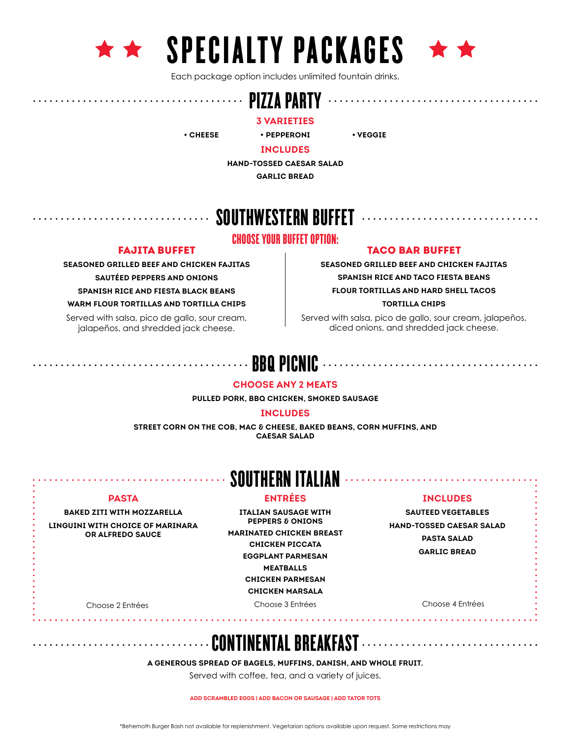





Each package option includes unlimited fountain drinks.

#### PIZZA PARTY

**3 VARIETIES**

**• CHEESE • PEPPERONI • VEGGIE**

**INCLUDES**

**HAND-TOSSED CAESAR SALAD**

**GARLIC BREAD**

### SOUTHWESTERN BUFFET

### CHOOSE YOUR BUFFET OPTION:

#### FAJITA BUFFET

**SEASONED GRILLED BEEF AND CHICKEN FAJITAS SAUTÉED PEPPERS AND ONIONS SPANISH RICE AND FIESTA BLACK BEANS WARM FLOUR TORTILLAS AND TORTILLA CHIPS**

Served with salsa, pico de gallo, sour cream, jalapeños, and shredded jack cheese.

TACO BAR BUFFET

**SEASONED GRILLED BEEF AND CHICKEN FAJITAS SPANISH RICE AND TACO FIESTA BEANS FLOUR TORTILLAS AND HARD SHELL TACOS TORTILLA CHIPS**

Served with salsa, pico de gallo, sour cream, jalapeños, diced onions, and shredded jack cheese.

### BBQ PICNIC

#### **CHOOSE ANY 2 MEATS**

**PULLED PORK, BBQ CHICKEN, SMOKED SAUSAGE**

#### **INCLUDES**

**STREET CORN ON THE COB, MAC & CHEESE, BAKED BEANS, CORN MUFFINS, AND CAESAR SALAD**

### SOUTHERN ITALIAN

#### **ENTRÉES**

#### **PASTA**

**BAKED ZITI WITH MOZZARELLA**

**LINGUINI WITH CHOICE OF MARINARA OR ALFREDO SAUCE**

**ITALIAN SAUSAGE WITH PEPPERS & ONIONS MARINATED CHICKEN BREAST CHICKEN PICCATA EGGPLANT PARMESAN MEATBALLS CHICKEN PARMESAN CHICKEN MARSALA**

Choose 2 Entrées Choose 3 Entrées Choose 4 Entrées

#### **INCLUDES**

. . . . . . . . . . . . . .

**SAUTEED VEGETABLES HAND-TOSSED CAESAR SALAD PASTA SALAD GARLIC BREAD**

### CONTINENTAL BREAKFAST

**A GENEROUS SPREAD OF BAGELS, MUFFINS, DANISH, AND WHOLE FRUIT.**

Served with coffee, tea, and a variety of juices.

**ADD SCRAMBLED EGGS | ADD BACON OR SAUSAGE | ADD TATOR TOTS**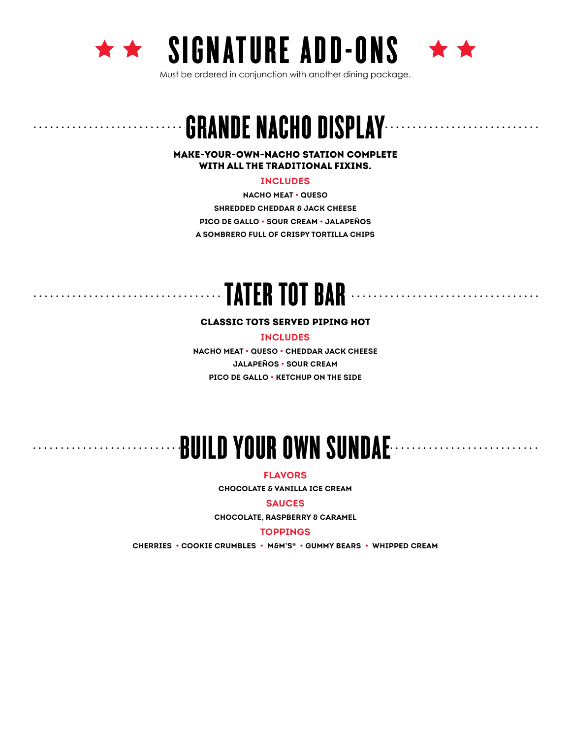





. . . . . . . . . . . . . .

Must be ordered in conjunction with another dining package.

## GRANDE NACHO DISPLAY

MAKE-YOUR-OWN-NACHO STATION COMPLETE WITH ALL THE TRADITIONAL FIXINS.

#### **INCLUDES**

**NACHO MEAT • QUESO SHREDDED CHEDDAR & JACK CHEESE PICO DE GALLO • SOUR CREAM • JALAPEÑOS A SOMBRERO FULL OF CRISPY TORTILLA CHIPS**

### TATER TOT BAR . . . . . . .

#### CLASSIC TOTS SERVED PIPING HOT

**INCLUDES**

**NACHO MEAT • QUESO • CHEDDAR JACK CHEESE JALAPEÑOS • SOUR CREAM PICO DE GALLO • KETCHUP ON THE SIDE**

# BUILD YOUR OWN SUNDAE

**FLAVORS**

**CHOCOLATE & VANILLA ICE CREAM**

#### **SAUCES**

**CHOCOLATE, RASPBERRY & CARAMEL**

#### **TOPPINGS**

**CHERRIES • COOKIE CRUMBLES • M&M'S® • GUMMY BEARS • WHIPPED CREAM**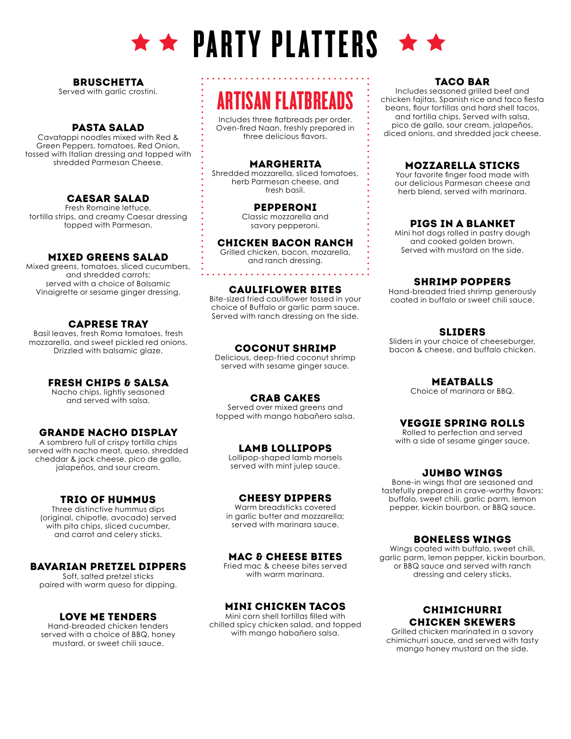

# $\star \star$  PARTY PLATTERS  $\star \star$

#### **BRUSCHETTA**

Served with garlic crostini.

#### PASTA SALAD

Cavatappi noodles mixed with Red & Green Peppers, tomatoes, Red Onion, tossed with Italian dressing and topped with shredded Parmesan Cheese.

#### CAESAR SALAD

Fresh Romaine lettuce, tortilla strips, and creamy Caesar dressing topped with Parmesan.

#### MIXED GREENS SALAD

Mixed greens, tomatoes, sliced cucumbers, and shredded carrots; served with a choice of Balsamic Vinaigrette or sesame ginger dressing.

#### CAPRESE TRAY

Basil leaves, fresh Roma tomatoes, fresh mozzarella, and sweet pickled red onions. Drizzled with balsamic glaze.

#### FRESH CHIPS & SALSA

Nacho chips, lightly seasoned and served with salsa.

#### GRANDE NACHO DISPLAY

A sombrero full of crispy tortilla chips served with nacho meat, queso, shredded cheddar & jack cheese, pico de gallo, jalapeños, and sour cream.

#### TRIO OF HUMMUS

Three distinctive hummus dips (original, chipotle, avocado) served with pita chips, sliced cucumber, and carrot and celery sticks.

#### BAVARIAN PRETZEL DIPPERS

Soft, salted pretzel sticks paired with warm queso for dipping.

#### LOVE ME TENDERS

Hand-breaded chicken tenders served with a choice of BBQ, honey mustard, or sweet chili sauce.

## ARTISAN FLATBREADS

Includes three flatbreads per order. Oven-fired Naan, freshly prepared in three delicious flavors.

#### MARGHERITA

Shredded mozzarella, sliced tomatoes, herb Parmesan cheese, and fresh basil.

#### PEPPERONI

Classic mozzarella and savory pepperoni.

#### CHICKEN BACON RANCH

Grilled chicken, bacon, mozarella, and ranch dressing.

. . . . . . . . . . . . . . . . .

#### CAULIFLOWER BITES

Bite-sized fried cauliflower tossed in your choice of Buffalo or garlic parm sauce. Served with ranch dressing on the side.

#### COCONUT SHRIMP

Delicious, deep-fried coconut shrimp served with sesame ginger sauce.

#### CRAB CAKES

Served over mixed greens and topped with mango habañero salsa.

#### LAMB LOLLIPOPS

Lollipop-shaped lamb morsels served with mint julep sauce.

#### CHEESY DIPPERS

Warm breadsticks covered in garlic butter and mozzarella; served with marinara sauce.

#### MAC & CHEESE BITES

Fried mac & cheese bites served with warm marinara.

#### MINI CHICKEN TACOS

Mini corn shell tortillas filled with chilled spicy chicken salad, and topped with mango habañero salsa.

#### TACO BAR

Includes seasoned grilled beef and chicken fajitas, Spanish rice and taco fiesta beans, flour tortillas and hard shell tacos, and tortilla chips. Served with salsa, pico de gallo, sour cream, jalapeños, diced onions, and shredded jack cheese.

#### MOZZARELLA STICKS

Your favorite finger food made with our delicious Parmesan cheese and herb blend, served with marinara.

#### PIGS IN A BLANKET

Mini hot dogs rolled in pastry dough and cooked golden brown. Served with mustard on the side.

#### SHRIMP POPPERS

Hand-breaded fried shrimp generously coated in buffalo or sweet chili sauce.

#### SLIDERS

Sliders in your choice of cheeseburger, bacon & cheese, and buffalo chicken.

MEATBALLS

Choice of marinara or BBQ.

#### VEGGIE SPRING ROLLS

Rolled to perfection and served with a side of sesame ginger sauce.

#### JUMBO WINGS

Bone-in wings that are seasoned and tastefully prepared in crave-worthy flavors: buffalo, sweet chili, garlic parm, lemon pepper, kickin bourbon, or BBQ sauce.

#### BONELESS WINGS

Wings coated with buffalo, sweet chili, garlic parm, lemon pepper, kickin bourbon, or BBQ sauce and served with ranch dressing and celery sticks.

#### CHIMICHURRI CHICKEN SKEWERS

Grilled chicken marinated in a savory chimichurri sauce, and served with tasty mango honey mustard on the side.